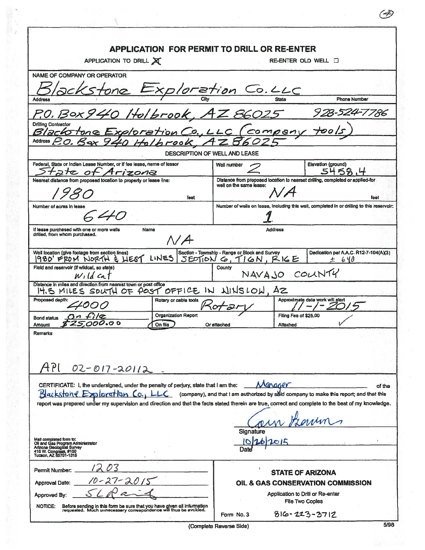|                                                                                                                                                        | <b>APPLICATION FOR PERMIT TO DRILL OR RE-ENTER</b>                                                                                                   |  |  |
|--------------------------------------------------------------------------------------------------------------------------------------------------------|------------------------------------------------------------------------------------------------------------------------------------------------------|--|--|
| APPLICATION TO DRILL X                                                                                                                                 | RE-ENTER OLD WELL <b>I</b>                                                                                                                           |  |  |
| <b>NAME OF COMPANY OR OPERATOR</b>                                                                                                                     |                                                                                                                                                      |  |  |
| ackstone Exploration Co.LLC<br><b>Address</b>                                                                                                          | <b>Phone Number</b>                                                                                                                                  |  |  |
|                                                                                                                                                        |                                                                                                                                                      |  |  |
| P.O. Box 940 Holbrook, AZ 86025<br><b>Drilling Contractor</b><br>Blackstone Exploration Co., LLC (company tools)                                       | <u>928-524-7786</u>                                                                                                                                  |  |  |
| OHOLLTOOK<br><b>Address</b>                                                                                                                            |                                                                                                                                                      |  |  |
| DESCRIPTION OF WELL AND LEASE                                                                                                                          |                                                                                                                                                      |  |  |
| Federal, State or Indian Lease Number, or if fee lease, name of lessor<br>tate of Arizona                                                              | Elevation (ground)<br>Well number<br>5458                                                                                                            |  |  |
| Nearest distance from proposed location to property or lease line:                                                                                     | Distance from proposed location to nearset drilling, completed or applied-for<br>well on the same lease:                                             |  |  |
| feet                                                                                                                                                   | feet                                                                                                                                                 |  |  |
| Number of acres in lease<br>40                                                                                                                         | Number of wells on lease, including this well, completed in or drilling to this reservoir.                                                           |  |  |
| If lease purchased with one or more wells<br>Name                                                                                                      | Address                                                                                                                                              |  |  |
| drilled, from whom purchased.<br>$\Lambda/A$                                                                                                           |                                                                                                                                                      |  |  |
| Well location (give footage from section lines)<br>LINES<br>1980 FROM NORTH & LIEST                                                                    | Section - Township - Range or Block and Survey<br>Dedication per A.A.C. R12-7-104(A)(3)<br>SECIION G, TION, RICE<br>± 640                            |  |  |
| Field and reservoir (if wildcat, so state)<br>$W_1$ ld cat                                                                                             | County<br>NAVAJO COUNTY                                                                                                                              |  |  |
| Distance in miles and direction from nearest town or post office<br>IT IS MILES SOUTH OF POST OFFICE IN WINSLOW, AZ                                    |                                                                                                                                                      |  |  |
| Proposed depth:<br>Rotary or cable tools<br>4000<br>$4$ ot                                                                                             | Approximate date work will start                                                                                                                     |  |  |
| <b>Organization Report</b><br><u>On file</u><br><b>Bond status</b>                                                                                     | Filing Fee of \$25,00                                                                                                                                |  |  |
| On file<br>Amount                                                                                                                                      | Attached<br>Or attached                                                                                                                              |  |  |
| <b>Remarks</b>                                                                                                                                         |                                                                                                                                                      |  |  |
|                                                                                                                                                        |                                                                                                                                                      |  |  |
| API<br>02-017-20112                                                                                                                                    |                                                                                                                                                      |  |  |
| CERTIFICATE: I, the undersigned, under the penalty of perjury, state that I am the:                                                                    | Manager<br>of the                                                                                                                                    |  |  |
| Blackstone Exploration Co., LLC                                                                                                                        | (company), and that I am authorized by said company to make this report; and that this                                                               |  |  |
|                                                                                                                                                        | report was prepared under my supervision and direction and that the facts stated therein are true, correct and complete to the best of my knowledge. |  |  |
|                                                                                                                                                        |                                                                                                                                                      |  |  |
|                                                                                                                                                        | <b>Signature</b>                                                                                                                                     |  |  |
| Mail completed form to:<br>Oil and Gas Program Administrator<br>Arizona Geological Survey<br>416 W. Congress, #100<br>Tucson, AZ 85701-1315            | OIL<br>Date                                                                                                                                          |  |  |
| Permit Number:                                                                                                                                         | <b>STATE OF ARIZONA</b>                                                                                                                              |  |  |
| 21<br>Approval Date:                                                                                                                                   | OIL & GAS CONSERVATION COMMISSION                                                                                                                    |  |  |
| Approved By:                                                                                                                                           | Application to Drill or Re-enter                                                                                                                     |  |  |
| NOTICE:<br>Before sending in this form be sure that you have given all information<br>requested. Much unnecessary correspondence will thus be avoided. | File Two Copies                                                                                                                                      |  |  |
|                                                                                                                                                        | $816 - 223 - 3712$<br>Form No. 3                                                                                                                     |  |  |
|                                                                                                                                                        | 5/96<br>(Complete Reverse Side)                                                                                                                      |  |  |

 $\circledB$